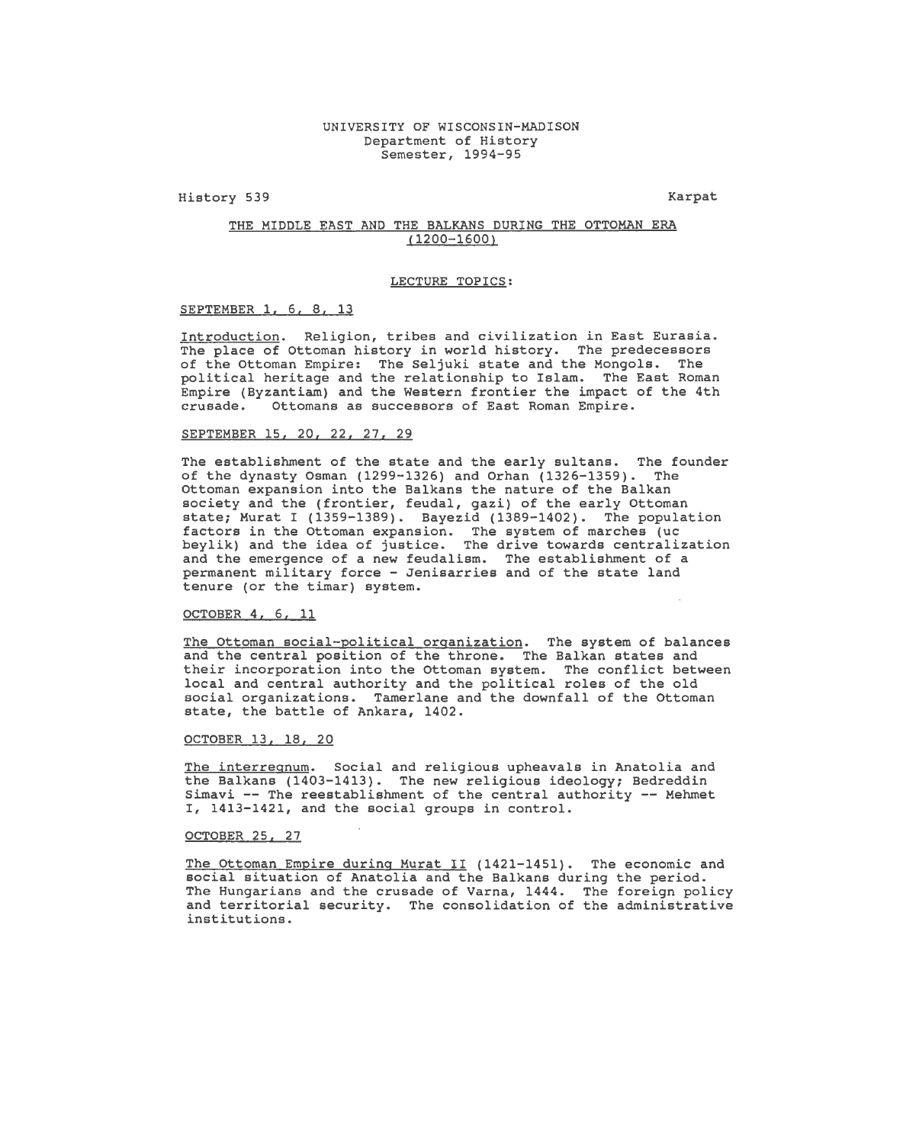History 539

**Karpat** 

# THE MIDDLE EAST AND THE BALKANS DURING THE OTTOMAN ERA (1200-1600)

#### LECTURE TOPICS:

SEPTEMBER l, 6, 8, 13

Introduction. Religion, tribes and civilization in East Eurasia. The place of Ottoman history in world history. The predecessors of the Ottoman Empire: The Seljuki state and the Mongols. The political heritage and the relationship to Islam. The East Roman Empire (Byzantiam) and the Western frontier the impact of the 4th crusade. Ottomans as successors of East Roman Empire. Ottomans as successors of East Roman Empire.

## SEPTEMBER 15, 20, 22, 27, 29

The establishment of the state and the early sultans. The founder of the dynasty Osman (1299-1326) and Orhan (1326-1359). The Ottoman expansion into the Balkans the nature of the Balkan society and the (frontier, feudal, gazi) of the early Ottoman state; Murat I (1359-1389). Bayezid (1389-1402). The population factors in the Ottoman expansion. The system of marches (uc beylik) and the idea of justice. The drive towards centralization and the emergence of a new feudalism. The establishment of a permanent military force - Jenisarries and of the state land tenure (or the timar) system.

## OCTOBER 4, 6, 11

The Ottoman social-political organization. The system of balances and the central position of the throne. The Balkan states and their incorporation into the Ottoman system. The conflict between local and central authority and the political roles of the old social organizations. Tamerlane and the downfall of the Ottoman state, the battle of Ankara, 1402.

## OCTOBER 13, 18, 20

The interregnum. Social and religious upheavals in Anatolia and the Balkans (1403-1413). The new religious ideology; Bedreddin Simavi -- The reestablishment of the central authority -- Mehmet I, 1413-1421, and the social groups in control.

## OCTOBER 25, 27

The Ottoman Empire during Murat II (1421-1451). The economic and social situation of Anatolia and the Balkans during the period. The Hungarians and the crusade of Varna, 1444. The foreign policy and territorial security. The consolidation of the administrative institutions.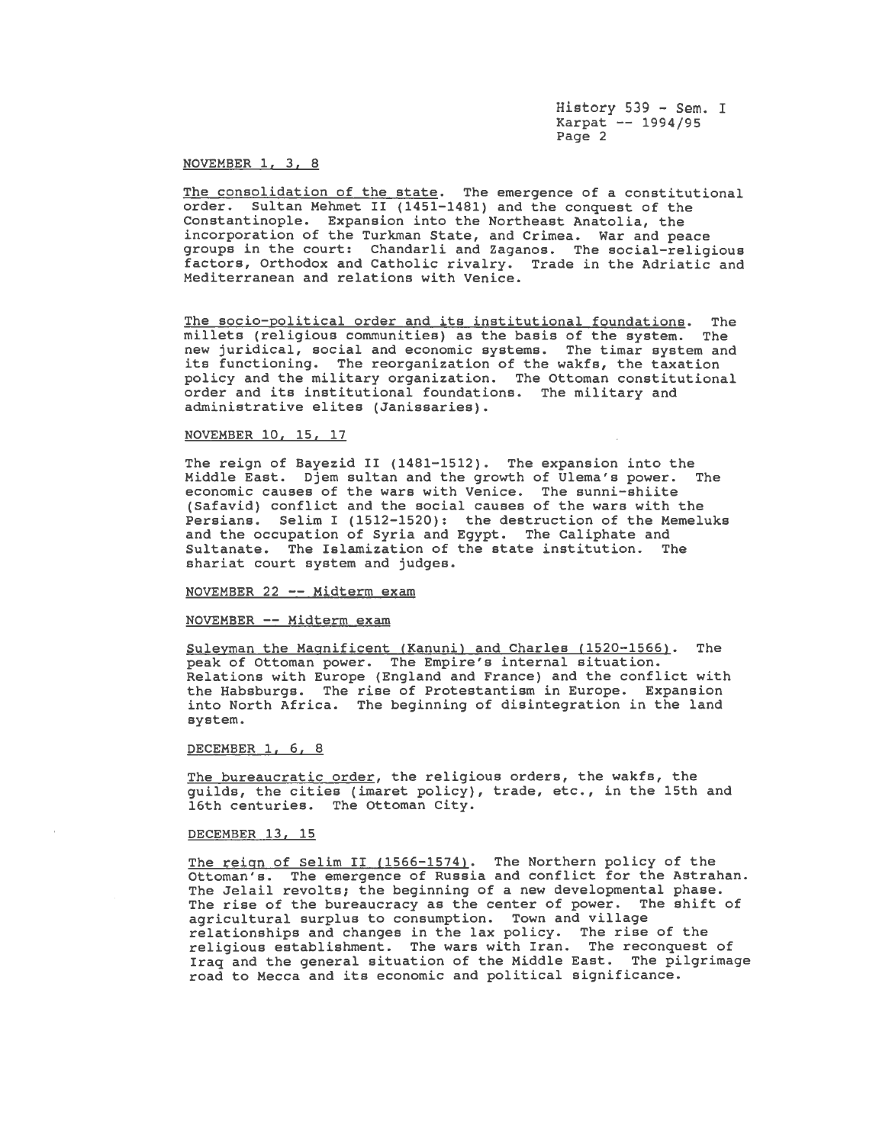History 539 - Sem. I Karpat -- 1994/95 Page 2

# NOVEMBER 1, 3, 8

The consolidation of the state. The emergence of a constitutional order. Sultan Mehmet II (1451-1481) and the conquest of the Constantinople. Expansion into the Northeast Anatolia, the incorporation of the Turkman State, and Crimea. War and peace groups in the court: Chandarli and Zaganos. The social-religious factors, Orthodox and Catholic rivalry. Trade in the Adriatic and Mediterranean and relations with Venice.

The socio-political order and its institutional foundations. The millets (religious communities) as the basis of the system. The new juridical, social and economic systems. The timar system and its functioning. The reorganization of the wakfs, the taxation policy and the military organization. The Ottoman constitutional order and its institutional foundations. The military and administrative elites (Janissaries).

# NOVEMBER 10, 15, 17

The reign of Bayezid II (1481-1512). The expansion into the<br>Middle East. Djem sultan and the growth of Ulema's power. The Middle East. Djem sultan and the growth of Ulema's power. economic causes of the wars with Venice. The sunni-shiite (Safavid) conflict and the social causes of the wars with the Persians. Selim I (1512-1520): the destruction of the Memeluks and the occupation of Syria and Egypt. The Caliphate and Sultanate. The Islamization of the state institution. shariat court system and judges.

## NOVEMBER 22 -- Midterm exam

## NOVEMBER -- Midterm exam

Suleyman the Magnificent (Kanuni) and Charles (1520-1566). The peak of Ottoman power. The Empire's internal situation. Relations with Europe (England and France) and the conflict with the Habsburgs. The rise of Protestantism in Europe. Expansion into North Africa. The beginning of disintegration in the land system.

#### DECEMBER 1, 6, 8

The bureaucratic order, the religious orders, the wakfs, the guilds, the cities (imaret policy), trade, etc., in the 15th and 16th centuries. The Ottoman City.

## DECEMBER 13, 15

The reign of Selim II (1566-1574). The Northern policy of the **Outoman's.** The emergence of Russia and conflict for the Astrahan. The Jelail revolts; the beginning of a new developmental phase. The rise of the bureaucracy as the center of power. The shift of agricultural surplus to consumption. Town and village agricultural surprus to consumption: Town and virings religious establishment. The wars with Iran. The reconquest of Iraq and the general situation of the Middle East. The pilgrimage road to Mecca and its economic and political significance.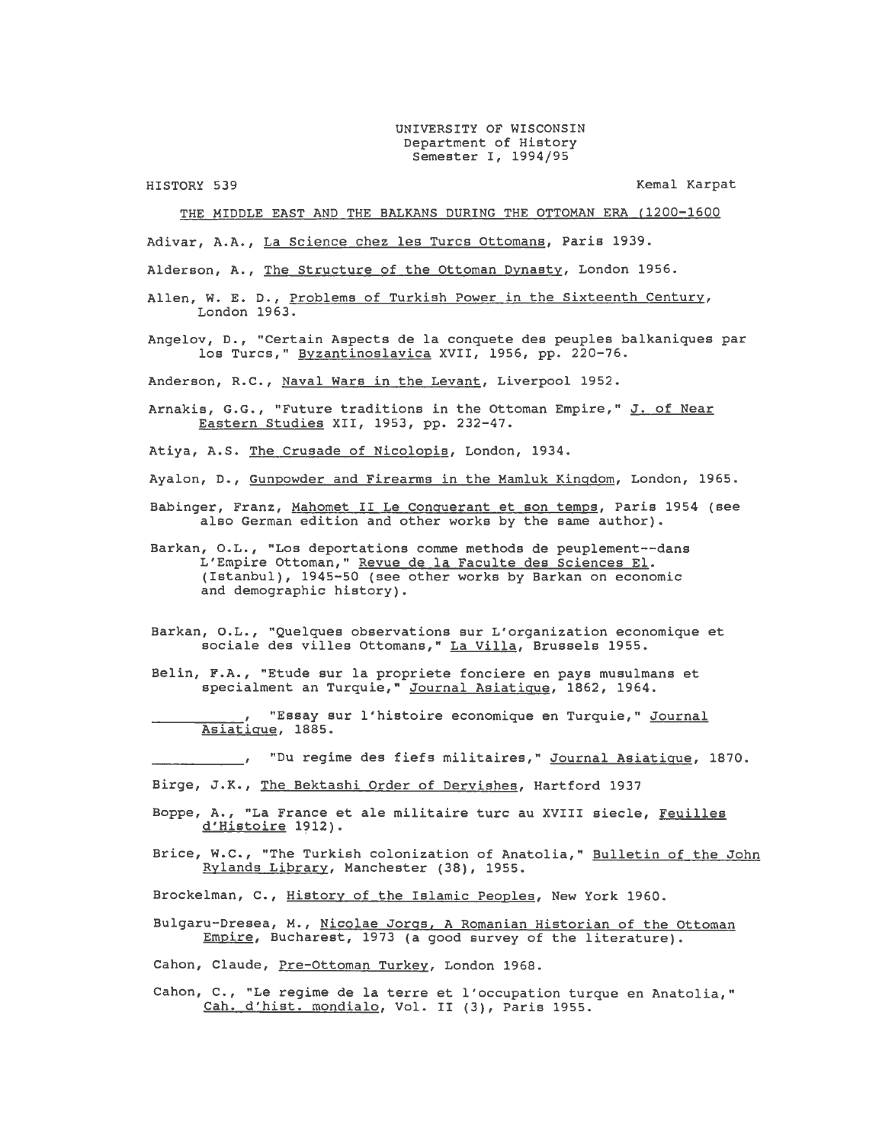## UNIVERSITY OF WISCONSIN Department of History Semester I, 1994/95

HISTORY 539

Kemal Karpat

THE MIDDLE EAST AND THE BALKANS DURING THE OTTOMAN ERA (1200-1600

Adivar, A.A., La Science chez lea Turcs Ottomans, Paris 1939.

Alderson, A., The Structure of the Ottoman Dynasty, London 1956.

Allen, w. E. D., Problems of Turkish Power in the Sixteenth Century, London 1963.

Angelov, D., "Certain Aspects de la conquete des peuples balkaniques par los Turcs," Byzantinoslavica XVII, 1956, pp. 220-76.

Anderson, R.C., Naval Wars in the Levant, Liverpool 1952.

Arnakis, G.G., "Future traditions in the Ottoman Empire," J. of Near Eastern Studies XII, 1953, pp. 232-47.

Atiya, A.S. The Crusade of Nicolopis, London, 1934.

Ayalon, D., Gunpowder and Firearms in the Mamluk Kingdom, London, 1965.

Babinger, Franz, Mahomet II Le Conguerant et son temps, Paris 1954 (see also German edition and other works by the same author).

Barkan, O.L., "Los deportations comme methods de peuplement--dans L'Empire Ottoman," Revue de la Faculte des Sciences El. (Istanbul), 1945-50 (see other works by Barkan on economic and demographic history).

- Barkan, O.L., "Quelques observations sur L'organization economique et sociale des villes Ottomans," La Villa, Brussels 1955.
- Belin, F.A., "Etude sur la propriete fonciere en pays musulmans et specialment an Turquie," Journal Asiatigue, 1862, 1964.

"Essay sur l'histoire economique en Turquie," Journal Asiatigue, 1885.

"Du regime des fiefs militaires," Journal Asiatigue, 1870.

Birge, J.K., The Bektashi Order of Dervishes, Hartford 1937

- Boppe, A., "La France et ale militaire turc au XVIII siecle, Feuilles d'Histoire 1912).
- Brice, W.C., "The Turkish colonization of Anatolia," Bulletin of the John Rylands Library, Manchester (38), 1955.

Brockelman, c., History of the Islamic Peoples, New York 1960.

- Bulgaru-Dresea, M., Nicolae Jorgs, A Romanian Historian of the Ottoman Empire, Bucharest, 1973 (a good survey of the literature).
- Cahon, Claude, Pre-Ottoman Turkey, London 1968.
- Cahon, C., "Le regime de la terre et l'occupation turque en Anatolia," Cah. d'hist. mondialo, Vol. II (3), Paris 1955.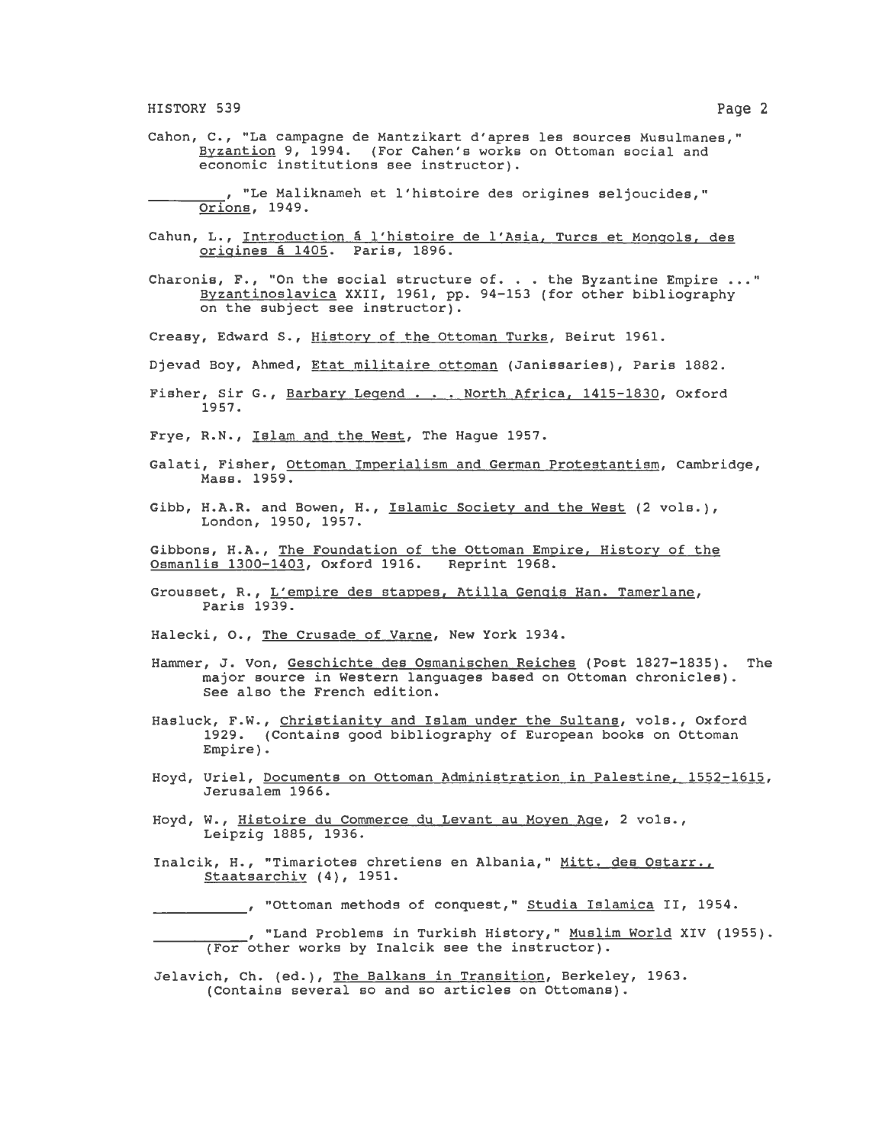HISTORY 539 Page 2

Cahan, C., "La campagne de Mantzikart d'apres lea sources Musulmanes," Byzantion 9, 1994. (For Cahen's works on Ottoman social and economic institutions see instructor).

, "Le Maliknameh et l'histoire des origines seljoucides," Orions, 1949.

- Cahun, L., Introduction a l'histoire de l'Asia, Turcs et Mongols, des origines a 1405. Paris, 1896.
- Charonis,  $F.$ , "On the social structure of. . . the Byzantine Empire ..." Byzantinoslavica XXII, 1961, pp. 94-153 (for other bibliography on the subject see instructor).
- Creasy, Edward S., History of the Ottoman Turks, Beirut 1961.
- Djevad Boy, Ahmed, Etat militaire ottoman (Janissaries), Paris 1882.
- Fisher, Sir G., Barbary Legend . . . North Africa, 1415-1830, Oxford 1957.
- Frye, R.N., Islam and the West, The Hague 1957.
- Galati, Fisher, Ottoman Imperialism and German Protestantism, Cambridge, Mass. 1959.
- Gibb, H.A.R. and Bowen, H., Islamic Society and the West (2 vola.), London, 1950, 1957.
- Gibbons, H.A., The Foundation of the Ottoman Empire, History of the Osmanlis 1300-1403, Oxford 1916. Reprint 1968. Osmanlis 1300-1403, Oxford 1916.
- Grousset, R., L'empire des stappes, Atilla Gengis Han. Tamerlane, Paris 1939.
- Halecki, 0., The Crusade of Varne, New York 1934.
- Hammer, J. Von, Geschichte des Osmanischen Reiches (Post 1827-1835). The major source in Western languages based on Ottoman chronicles). See also the French edition.
- Hasluck, F.W., Christianity and Islam under the Sultans, vols., Oxford 1929. (Contains good bibliography of European books on Ottoman Empire).
- Hoyd, Uriel, Documents on Ottoman Administration in Palestine, 1552-1615, Jerusalem 1966.
- Hoyd, w., Histoire du Commerce du Levant au Moyen Age, 2 vola., Leipzig 1885, 1936.
- Inalcik, H., "Timariotes chretiens en Albania," Mitt. des Ostarr., Staatsarchiv (4), 1951.

, "Ottoman methods of conquest," Studia Islamica II, 1954.

, "Land Problems in Turkish History," Muslim World XIV (1955).<br>(For other works by Inalcik see the instructor).

Jelavich, Ch. (ed.), The Balkans in Transition, Berkeley, 1963. (Contains several so and so articles on Ottomans).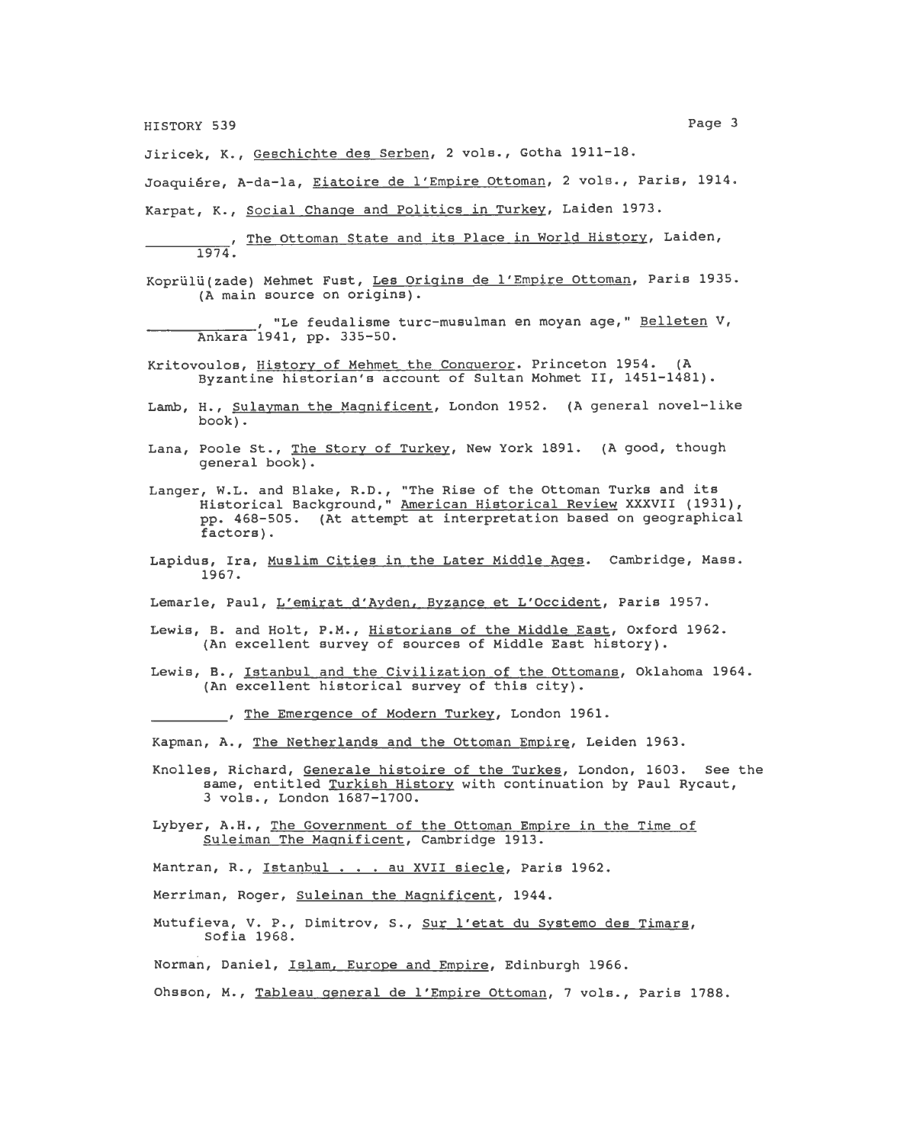HISTORY 539 Page 3

Jiricek, K., Geschichte des Serben, 2 vols., Gotha 1911-18.

Joaquiére, A-da-la, Eiatoire de l'Empire Ottoman, 2 vols., Paris, 1914.

Karpat, K., Social Change and Politics in Turkey, Laiden 1973.

The Ottoman State and its Place in World History, Laiden,

- Koprülü(zade) Mehmet Fust, Les Origins de l'Empire Ottoman, Paris 1935. (A main source on origins).
	- , "Le feudalisme turc-musulman en moyan age," Belleten V,<br>Ankara 1941, pp. 335-50.
- Kritovoulos, History of Mehmet the Conqueror. Princeton 1954. (A Byzantine historian's account of Sultan Mohmet II, 1451-1481).
- Lamb, H., Sulayman the Magnificent, London 1952. (A general novel-like book).
- Lana, Poole St., <u>The Story of Turkey</u>, New York 1891. (A good, though general book).
- Langer, W.L. and Blake, R.D., "The Rise of the Ottoman Turks and its Historical Background," American Historical Review XXXVII (1931), pp. 468-505. (At attempt at interpretation based on geographical factors).
- Lapidus, Ira, Muslim Cities in the Later Middle Ages. Cambridge, Mass. 1967.
- Lemarle, Paul, L'emirat d'Ayden, Byzance et L'Occident, Paris 1957.
- Lewis, B. and Holt, P.M., Historians of the Middle East, Oxford 1962. (An excellent survey of sources of Middle East history).
- Lewis, B., Istanbul and the Civilization of the Ottomans, Oklahoma 1964. (An excellent historical survey of this city).
	- , The Emergence of Modern Turkey, London 1961.

Kapman, A., The Netherlands and the Ottoman Empire, Leiden 1963.

- Knolles, Richard, Generale histoire of the Turkes, London, 1603. See the same, entitled Turkish History with continuation by Paul Rycaut, 3 vola., London 1687-1700.
- Lybyer, A.H., The Government of the Ottoman Empire in the Time of Suleiman The Magnificent, Cambridge 1913.

Mantran, R., Istanbul . . . au XVII siecle, Paris 1962.

Merriman, Roger, Suleinan the Magnificent, 1944.

Mutufieva, V. P., Dimitrov, s., Sur l'etat du Systemo des Timars, Sofia 1968.

Norman, Daniel, Islam, Europe and Empire, Edinburgh 1966.

Ohsson, M., Tableau general de l'Empire Ottoman, 7 vols., Paris 1788.